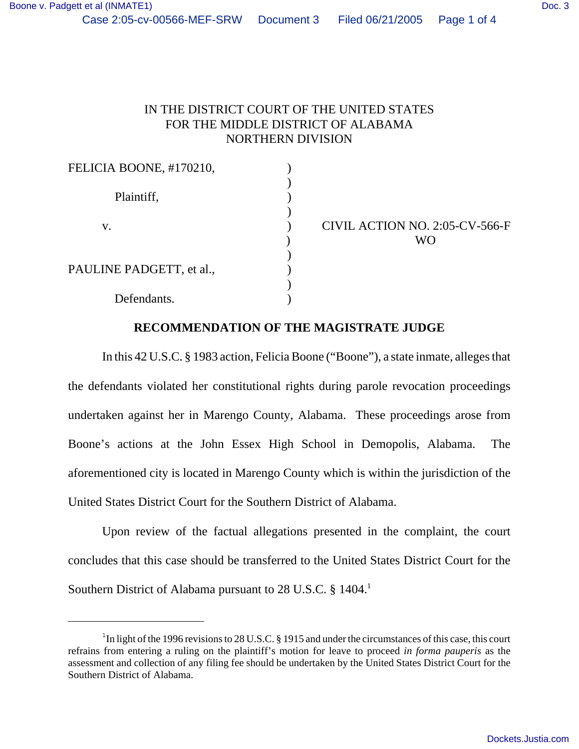## IN THE DISTRICT COURT OF THE UNITED STATES FOR THE MIDDLE DISTRICT OF ALABAMA NORTHERN DIVISION

| FELICIA BOONE, #170210,  |                                |
|--------------------------|--------------------------------|
|                          |                                |
| Plaintiff,               |                                |
|                          |                                |
| V.                       | CIVIL ACTION NO. 2:05-CV-566-F |
|                          | <b>WO</b>                      |
|                          |                                |
| PAULINE PADGETT, et al., |                                |
|                          |                                |
| Defendants.              |                                |
|                          |                                |

## **RECOMMENDATION OF THE MAGISTRATE JUDGE**

In this 42 U.S.C. § 1983 action, Felicia Boone ("Boone"), a state inmate, alleges that the defendants violated her constitutional rights during parole revocation proceedings undertaken against her in Marengo County, Alabama. These proceedings arose from Boone's actions at the John Essex High School in Demopolis, Alabama. The aforementioned city is located in Marengo County which is within the jurisdiction of the United States District Court for the Southern District of Alabama.

Upon review of the factual allegations presented in the complaint, the court concludes that this case should be transferred to the United States District Court for the Southern District of Alabama pursuant to 28 U.S.C. § 1404.<sup>1</sup>

<sup>&</sup>lt;sup>1</sup>In light of the 1996 revisions to 28 U.S.C. § 1915 and under the circumstances of this case, this court refrains from entering a ruling on the plaintiff's motion for leave to proceed *in forma pauperis* as the assessment and collection of any filing fee should be undertaken by the United States District Court for the Southern District of Alabama.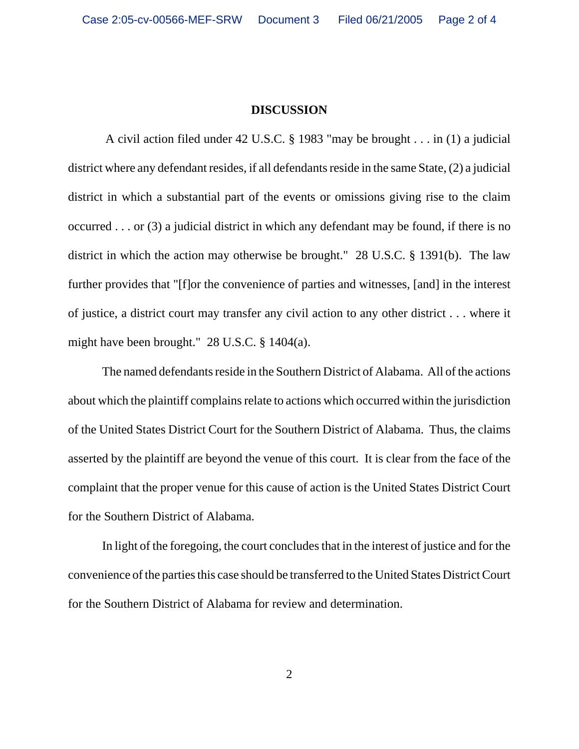## **DISCUSSION**

 A civil action filed under 42 U.S.C. § 1983 "may be brought . . . in (1) a judicial district where any defendant resides, if all defendants reside in the same State, (2) a judicial district in which a substantial part of the events or omissions giving rise to the claim occurred . . . or (3) a judicial district in which any defendant may be found, if there is no district in which the action may otherwise be brought." 28 U.S.C. § 1391(b). The law further provides that "[f]or the convenience of parties and witnesses, [and] in the interest of justice, a district court may transfer any civil action to any other district . . . where it might have been brought." 28 U.S.C. § 1404(a).

The named defendants reside in the Southern District of Alabama. All of the actions about which the plaintiff complains relate to actions which occurred within the jurisdiction of the United States District Court for the Southern District of Alabama. Thus, the claims asserted by the plaintiff are beyond the venue of this court. It is clear from the face of the complaint that the proper venue for this cause of action is the United States District Court for the Southern District of Alabama.

In light of the foregoing, the court concludes that in the interest of justice and for the convenience of the parties this case should be transferred to the United States District Court for the Southern District of Alabama for review and determination.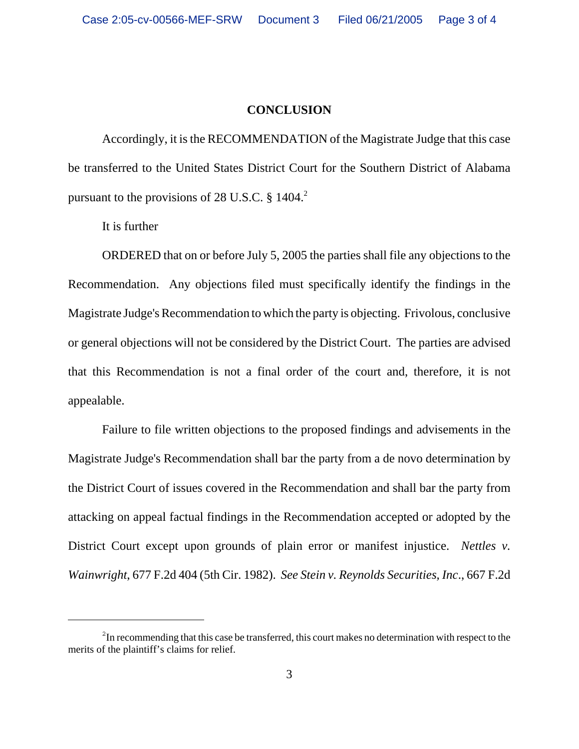## **CONCLUSION**

Accordingly, it is the RECOMMENDATION of the Magistrate Judge that this case be transferred to the United States District Court for the Southern District of Alabama pursuant to the provisions of 28 U.S.C.  $\S$  1404.<sup>2</sup>

It is further

ORDERED that on or before July 5, 2005 the parties shall file any objections to the Recommendation. Any objections filed must specifically identify the findings in the Magistrate Judge's Recommendation to which the party is objecting. Frivolous, conclusive or general objections will not be considered by the District Court. The parties are advised that this Recommendation is not a final order of the court and, therefore, it is not appealable.

Failure to file written objections to the proposed findings and advisements in the Magistrate Judge's Recommendation shall bar the party from a de novo determination by the District Court of issues covered in the Recommendation and shall bar the party from attacking on appeal factual findings in the Recommendation accepted or adopted by the District Court except upon grounds of plain error or manifest injustice. *Nettles v. Wainwright*, 677 F.2d 404 (5th Cir. 1982). *See Stein v. Reynolds Securities, Inc*., 667 F.2d

 $2^2$ In recommending that this case be transferred, this court makes no determination with respect to the merits of the plaintiff's claims for relief.